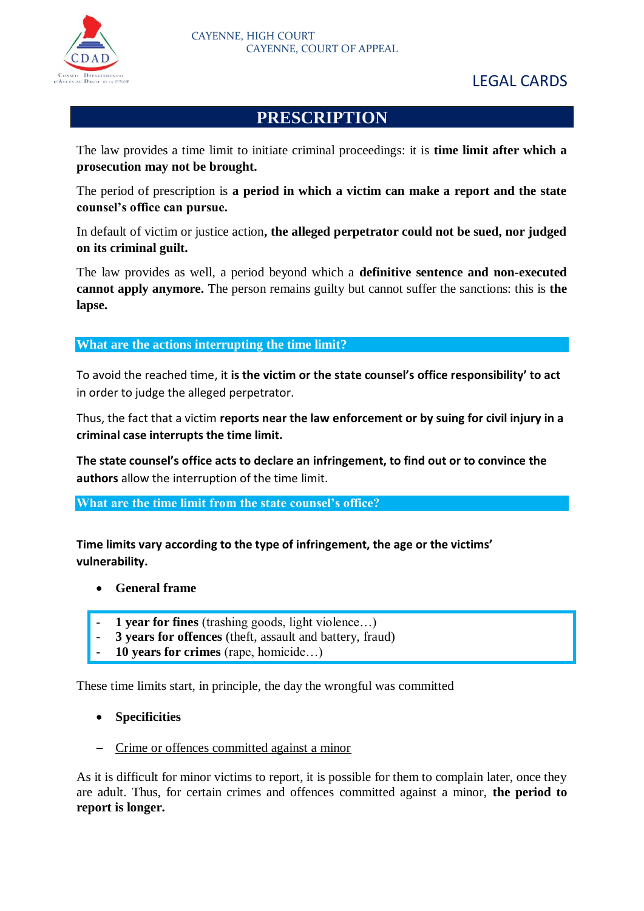

## LEGAL CARDS

## **PRESCRIPTION**

The law provides a time limit to initiate criminal proceedings: it is **time limit after which a prosecution may not be brought.**

The period of prescription is **a period in which a victim can make a report and the state counsel's office can pursue.**

In default of victim or justice action**, the alleged perpetrator could not be sued, nor judged on its criminal guilt.**

The law provides as well, a period beyond which a **definitive sentence and non-executed cannot apply anymore.** The person remains guilty but cannot suffer the sanctions: this is **the lapse.** 

**What are the actions interrupting the time limit?**

To avoid the reached time, it **is the victim or the state counsel's office responsibility' to act** in order to judge the alleged perpetrator.

Thus, the fact that a victim **reports near the law enforcement or by suing for civil injury in a criminal case interrupts the time limit.**

**The state counsel's office acts to declare an infringement, to find out or to convince the authors** allow the interruption of the time limit.

**What are the time limit from the state counsel's office?**

**Time limits vary according to the type of infringement, the age or the victims' vulnerability.**

- **General frame**
- 1 **vear for fines** (trashing goods, light violence...)
- **3 years for offences** (theft, assault and battery, fraud)
- **10 years for crimes** (rape, homicide…)

These time limits start, in principle, the day the wrongful was committed

- **Specificities**
- Crime or offences committed against a minor

As it is difficult for minor victims to report, it is possible for them to complain later, once they are adult. Thus, for certain crimes and offences committed against a minor, **the period to report is longer.**